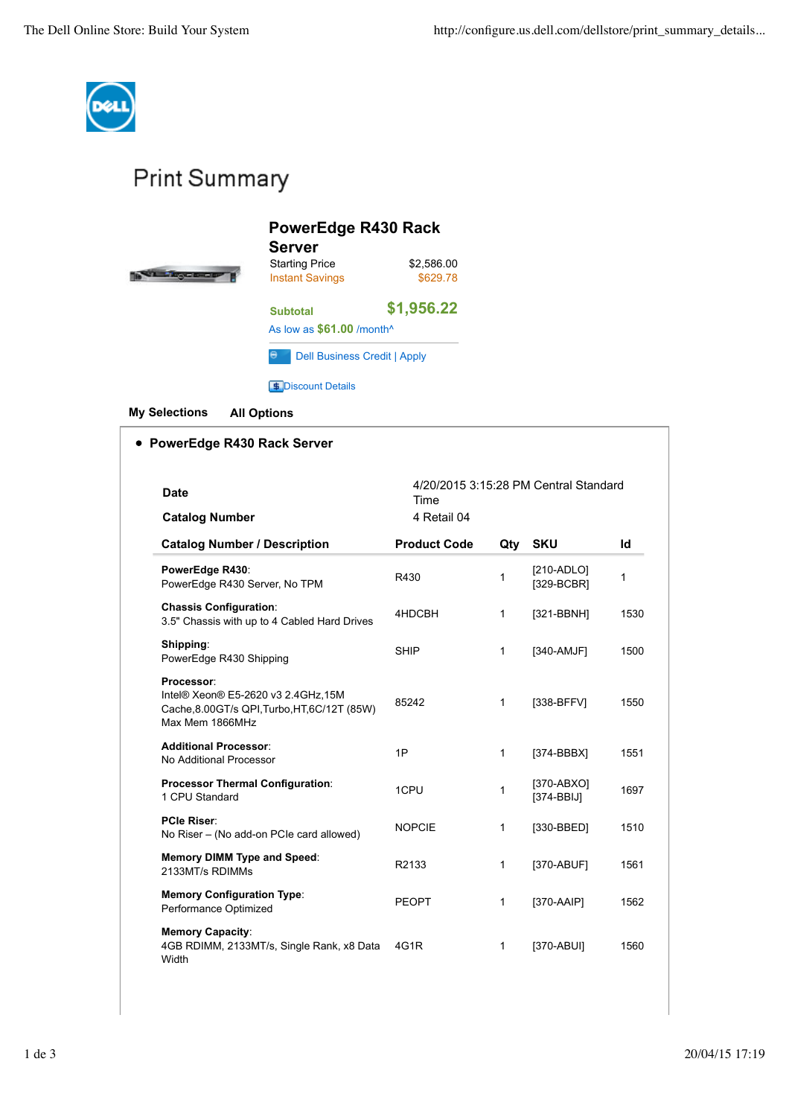

## **Print Summary**

| PowerEdge R430 Rack<br><b>Server</b>            |                        |  |  |  |
|-------------------------------------------------|------------------------|--|--|--|
| <b>Starting Price</b><br><b>Instant Savings</b> | \$2,586.00<br>\$629.78 |  |  |  |
| <b>Subtotal</b>                                 | \$1,956.22             |  |  |  |
| As low as \$61.00 /month <sup>^</sup>           |                        |  |  |  |
| е<br><b>Dell Business Credit   Apply</b>        |                        |  |  |  |
| <b>Discount Details</b>                         |                        |  |  |  |

**My Selections All Options**

## **PowerEdge R430 Rack Server**

| Date                                                                                                                | 4/20/2015 3:15:28 PM Central Standard<br>Time<br>4 Retail 04 |              |                            |      |
|---------------------------------------------------------------------------------------------------------------------|--------------------------------------------------------------|--------------|----------------------------|------|
| <b>Catalog Number</b>                                                                                               |                                                              |              |                            |      |
| <b>Catalog Number / Description</b>                                                                                 | <b>Product Code</b>                                          | Qty          | <b>SKU</b>                 | Id   |
| PowerEdge R430:<br>PowerEdge R430 Server, No TPM                                                                    | R430                                                         | 1            | $[210-ADLO]$<br>[329-BCBR] | 1    |
| <b>Chassis Configuration:</b><br>3.5" Chassis with up to 4 Cabled Hard Drives                                       | 4HDCBH                                                       | 1            | [321-BBNH]                 | 1530 |
| Shipping:<br>PowerEdge R430 Shipping                                                                                | <b>SHIP</b>                                                  | $\mathbf{1}$ | [340-AMJF]                 | 1500 |
| Processor:<br>Intel® Xeon® E5-2620 v3 2.4GHz,15M<br>Cache, 8.00GT/s QPI, Turbo, HT, 6C/12T (85W)<br>Max Mem 1866MHz | 85242                                                        | $\mathbf{1}$ | [338-BFFV]                 | 1550 |
| <b>Additional Processor:</b><br>No Additional Processor                                                             | 1P                                                           | $\mathbf{1}$ | $[374-BBBX]$               | 1551 |
| <b>Processor Thermal Configuration:</b><br>1 CPU Standard                                                           | 1CPU                                                         | 1            | [370-ABXO]<br>$[374-BBIJ]$ | 1697 |
| <b>PCIe Riser:</b><br>No Riser - (No add-on PCIe card allowed)                                                      | <b>NOPCIE</b>                                                | 1            | [330-BBED]                 | 1510 |
| <b>Memory DIMM Type and Speed:</b><br>2133MT/s RDIMMs                                                               | R2133                                                        | $\mathbf{1}$ | [370-ABUF]                 | 1561 |
| <b>Memory Configuration Type:</b><br>Performance Optimized                                                          | <b>PEOPT</b>                                                 | 1            | [370-AAIP]                 | 1562 |
| <b>Memory Capacity:</b><br>4GB RDIMM, 2133MT/s, Single Rank, x8 Data<br>Width                                       | 4G1R                                                         | 1            | [370-ABUI]                 | 1560 |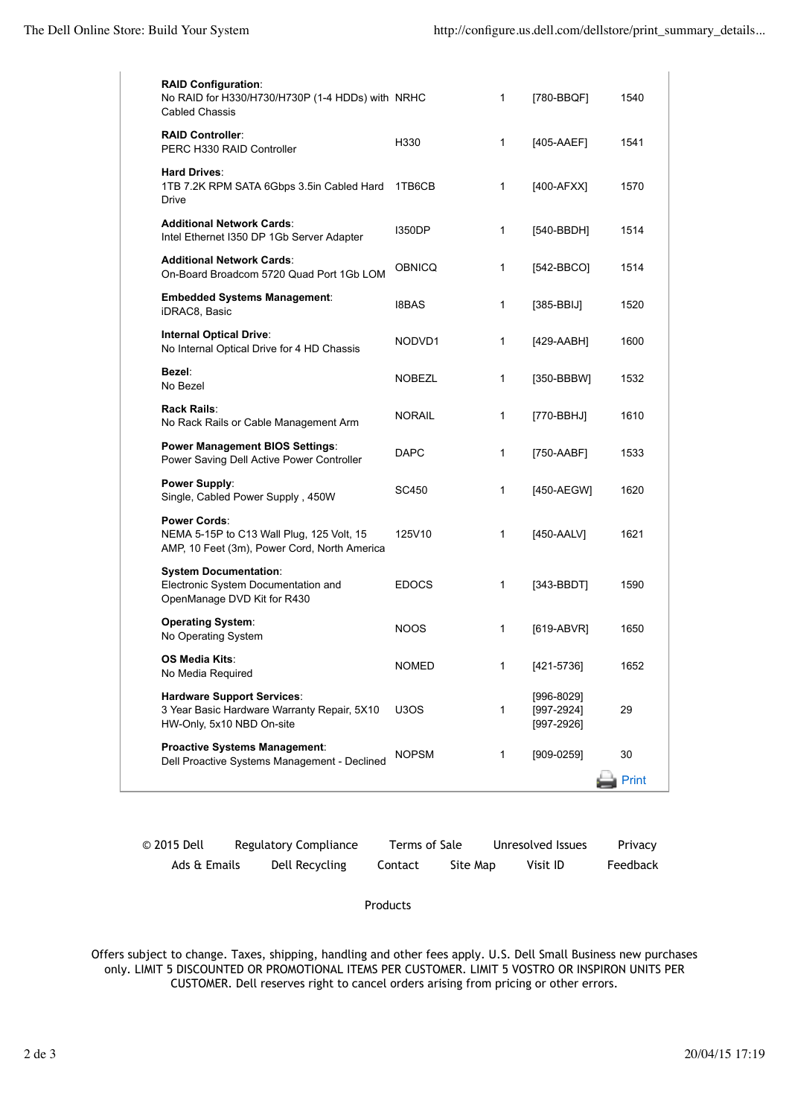| <b>RAID Configuration:</b><br>No RAID for H330/H730/H730P (1-4 HDDs) with NRHC<br><b>Cabled Chassis</b>          |              | 1            | [780-BBQF]                                       | 1540  |
|------------------------------------------------------------------------------------------------------------------|--------------|--------------|--------------------------------------------------|-------|
| <b>RAID Controller:</b><br>PERC H330 RAID Controller                                                             | H330         | 1            | [405-AAEF]                                       | 1541  |
| <b>Hard Drives:</b><br>1TB 7.2K RPM SATA 6Gbps 3.5in Cabled Hard<br>Drive                                        | 1TB6CB       | 1            | [400-AFXX]                                       | 1570  |
| <b>Additional Network Cards:</b><br>Intel Ethernet I350 DP 1Gb Server Adapter                                    | 1350DP       | 1            | [540-BBDH]                                       | 1514  |
| <b>Additional Network Cards:</b><br>On-Board Broadcom 5720 Quad Port 1Gb LOM                                     | OBNICQ       | 1            | $[542-BBCO]$                                     | 1514  |
| <b>Embedded Systems Management:</b><br>iDRAC8, Basic                                                             | 18BAS        | 1            | $[385-BBIJ]$                                     | 1520  |
| <b>Internal Optical Drive:</b><br>No Internal Optical Drive for 4 HD Chassis                                     | NODVD1       | 1            | [429-AABH]                                       | 1600  |
| Bezel:<br>No Bezel                                                                                               | NOBEZL       | 1            | [350-BBBW]                                       | 1532  |
| Rack Rails:<br>No Rack Rails or Cable Management Arm                                                             | NORAIL       | 1            | [770-BBHJ]                                       | 1610  |
| <b>Power Management BIOS Settings:</b><br>Power Saving Dell Active Power Controller                              | DAPC         | 1            | [750-AABF]                                       | 1533  |
| <b>Power Supply:</b><br>Single, Cabled Power Supply, 450W                                                        | SC450        | 1            | [450-AEGW]                                       | 1620  |
| <b>Power Cords:</b><br>NEMA 5-15P to C13 Wall Plug, 125 Volt, 15<br>AMP, 10 Feet (3m), Power Cord, North America | 125V10       | 1            | [450-AALV]                                       | 1621  |
| <b>System Documentation:</b><br>Electronic System Documentation and<br>OpenManage DVD Kit for R430               | <b>EDOCS</b> | 1            | $[343-BBDT]$                                     | 1590  |
| <b>Operating System:</b><br>No Operating System                                                                  | NOOS         | 1            | $[619-ABVR]$                                     | 1650  |
| <b>OS Media Kits:</b><br>No Media Required                                                                       | <b>NOMED</b> | 1            | [421-5736]                                       | 1652  |
| <b>Hardware Support Services:</b><br>3 Year Basic Hardware Warranty Repair, 5X10<br>HW-Only, 5x10 NBD On-site    | U3OS         | $\mathbf{1}$ | $[996-8029]$<br>$[997 - 2924]$<br>$[997 - 2926]$ | 29    |
| <b>Proactive Systems Management:</b><br>Dell Proactive Systems Management - Declined                             | NOPSM        | 1            | $[909-0259]$                                     | 30    |
|                                                                                                                  |              |              |                                                  | Print |

| © 2015 Dell  | Regulatory Compliance | Terms of Sale |          | Unresolved Issues | Privacy  |
|--------------|-----------------------|---------------|----------|-------------------|----------|
| Ads & Emails | Dell Recycling        | Contact       | Site Map | Visit ID          | Feedback |

Products

Offers subject to change. Taxes, shipping, handling and other fees apply. U.S. Dell Small Business new purchases only. LIMIT 5 DISCOUNTED OR PROMOTIONAL ITEMS PER CUSTOMER. LIMIT 5 VOSTRO OR INSPIRON UNITS PER CUSTOMER. Dell reserves right to cancel orders arising from pricing or other errors.